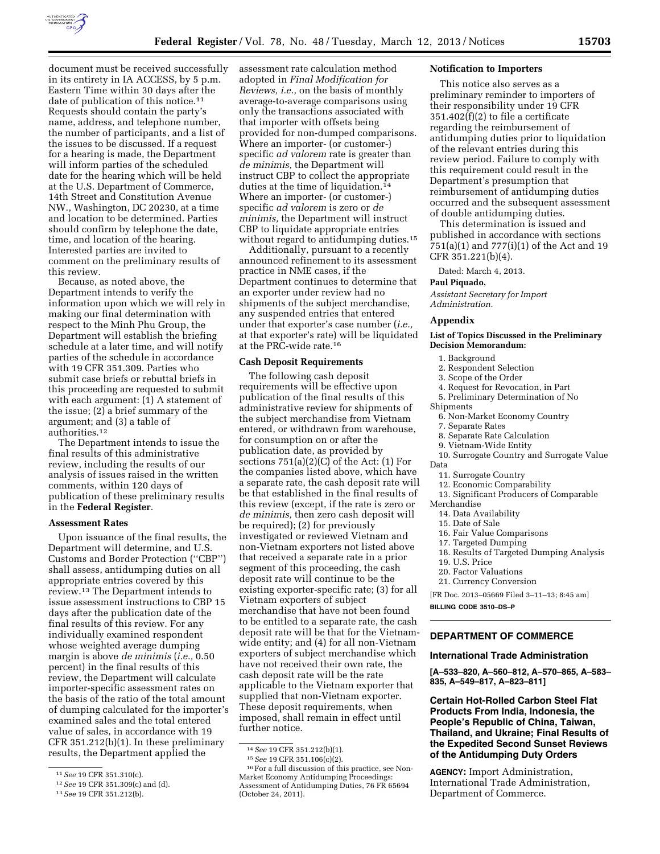

document must be received successfully in its entirety in IA ACCESS, by 5 p.m. Eastern Time within 30 days after the date of publication of this notice.11 Requests should contain the party's name, address, and telephone number, the number of participants, and a list of the issues to be discussed. If a request for a hearing is made, the Department will inform parties of the scheduled date for the hearing which will be held at the U.S. Department of Commerce, 14th Street and Constitution Avenue NW., Washington, DC 20230, at a time and location to be determined. Parties should confirm by telephone the date, time, and location of the hearing. Interested parties are invited to comment on the preliminary results of this review.

Because, as noted above, the Department intends to verify the information upon which we will rely in making our final determination with respect to the Minh Phu Group, the Department will establish the briefing schedule at a later time, and will notify parties of the schedule in accordance with 19 CFR 351.309. Parties who submit case briefs or rebuttal briefs in this proceeding are requested to submit with each argument: (1) A statement of the issue; (2) a brief summary of the argument; and (3) a table of authorities.12

The Department intends to issue the final results of this administrative review, including the results of our analysis of issues raised in the written comments, within 120 days of publication of these preliminary results in the **Federal Register**.

### **Assessment Rates**

Upon issuance of the final results, the Department will determine, and U.S. Customs and Border Protection (''CBP'') shall assess, antidumping duties on all appropriate entries covered by this review.13 The Department intends to issue assessment instructions to CBP 15 days after the publication date of the final results of this review. For any individually examined respondent whose weighted average dumping margin is above *de minimis* (*i.e.,* 0.50 percent) in the final results of this review, the Department will calculate importer-specific assessment rates on the basis of the ratio of the total amount of dumping calculated for the importer's examined sales and the total entered value of sales, in accordance with 19 CFR 351.212(b)(1). In these preliminary results, the Department applied the

assessment rate calculation method adopted in *Final Modification for Reviews, i.e.,* on the basis of monthly average-to-average comparisons using only the transactions associated with that importer with offsets being provided for non-dumped comparisons. Where an importer- (or customer-) specific *ad valorem* rate is greater than *de minimis,* the Department will instruct CBP to collect the appropriate duties at the time of liquidation.14 Where an importer- (or customer-) specific *ad valorem* is zero or *de minimis,* the Department will instruct CBP to liquidate appropriate entries without regard to antidumping duties.15

Additionally, pursuant to a recently announced refinement to its assessment practice in NME cases, if the Department continues to determine that an exporter under review had no shipments of the subject merchandise, any suspended entries that entered under that exporter's case number (*i.e.,*  at that exporter's rate) will be liquidated at the PRC-wide rate.16

### **Cash Deposit Requirements**

The following cash deposit requirements will be effective upon publication of the final results of this administrative review for shipments of the subject merchandise from Vietnam entered, or withdrawn from warehouse, for consumption on or after the publication date, as provided by sections 751(a)(2)(C) of the Act: (1) For the companies listed above, which have a separate rate, the cash deposit rate will be that established in the final results of this review (except, if the rate is zero or *de minimis,* then zero cash deposit will be required); (2) for previously investigated or reviewed Vietnam and non-Vietnam exporters not listed above that received a separate rate in a prior segment of this proceeding, the cash deposit rate will continue to be the existing exporter-specific rate; (3) for all Vietnam exporters of subject merchandise that have not been found to be entitled to a separate rate, the cash deposit rate will be that for the Vietnamwide entity; and (4) for all non-Vietnam exporters of subject merchandise which have not received their own rate, the cash deposit rate will be the rate applicable to the Vietnam exporter that supplied that non-Vietnam exporter. These deposit requirements, when imposed, shall remain in effect until further notice.

### **Notification to Importers**

This notice also serves as a preliminary reminder to importers of their responsibility under 19 CFR 351.402(f)(2) to file a certificate regarding the reimbursement of antidumping duties prior to liquidation of the relevant entries during this review period. Failure to comply with this requirement could result in the Department's presumption that reimbursement of antidumping duties occurred and the subsequent assessment of double antidumping duties.

This determination is issued and published in accordance with sections 751(a)(1) and 777(i)(1) of the Act and 19 CFR 351.221(b)(4).

Dated: March 4, 2013.

# **Paul Piquado,**

*Assistant Secretary for Import Administration.* 

#### **Appendix**

### **List of Topics Discussed in the Preliminary Decision Memorandum:**

- 1. Background
- 2. Respondent Selection
- 3. Scope of the Order
- 4. Request for Revocation, in Part
- 5. Preliminary Determination of No
- Shipments
- 6. Non-Market Economy Country
- 7. Separate Rates
- 8. Separate Rate Calculation
- 9. Vietnam-Wide Entity
- 10. Surrogate Country and Surrogate Value Data
	- 11. Surrogate Country
	- 12. Economic Comparability
	- 13. Significant Producers of Comparable
- Merchandise
	- 14. Data Availability
- 15. Date of Sale
- 16. Fair Value Comparisons
- 17. Targeted Dumping
- 18. Results of Targeted Dumping Analysis
- 19. U.S. Price
- 20. Factor Valuations
- 21. Currency Conversion

[FR Doc. 2013–05669 Filed 3–11–13; 8:45 am] **BILLING CODE 3510–DS–P** 

# **DEPARTMENT OF COMMERCE**

### **International Trade Administration**

**[A–533–820, A–560–812, A–570–865, A–583– 835, A–549–817, A–823–811]** 

**Certain Hot-Rolled Carbon Steel Flat Products From India, Indonesia, the People's Republic of China, Taiwan, Thailand, and Ukraine; Final Results of the Expedited Second Sunset Reviews of the Antidumping Duty Orders** 

**AGENCY:** Import Administration, International Trade Administration, Department of Commerce.

<sup>11</sup>*See* 19 CFR 351.310(c).

<sup>12</sup>*See* 19 CFR 351.309(c) and (d).

<sup>13</sup>*See* 19 CFR 351.212(b).

<sup>14</sup>*See* 19 CFR 351.212(b)(1). 15*See* 19 CFR 351.106(c)(2). 16For a full discussion of this practice, see Non-Market Economy Antidumping Proceedings: Assessment of Antidumping Duties, 76 FR 65694 (October 24, 2011).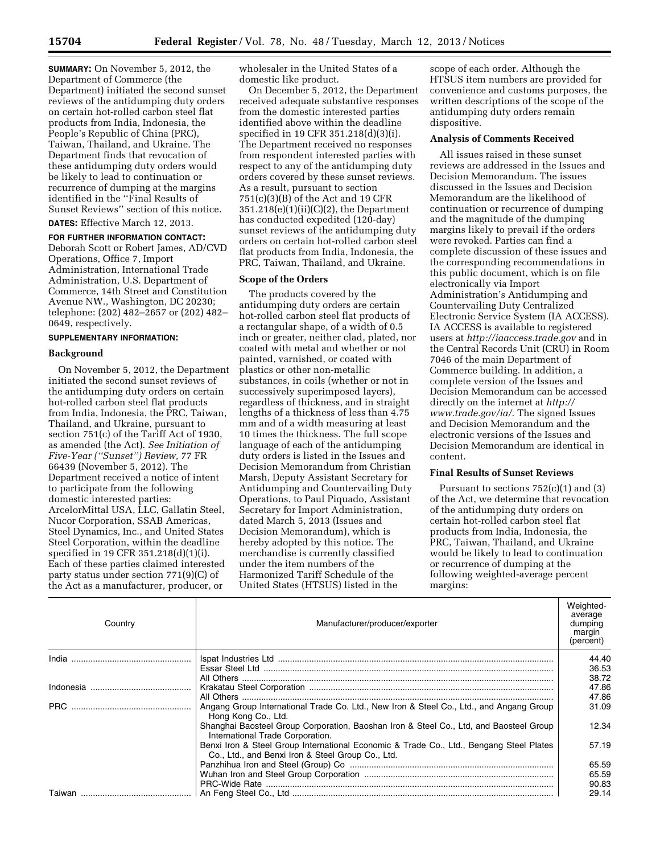**SUMMARY:** On November 5, 2012, the Department of Commerce (the Department) initiated the second sunset reviews of the antidumping duty orders on certain hot-rolled carbon steel flat products from India, Indonesia, the People's Republic of China (PRC), Taiwan, Thailand, and Ukraine. The Department finds that revocation of these antidumping duty orders would be likely to lead to continuation or recurrence of dumping at the margins identified in the ''Final Results of Sunset Reviews'' section of this notice.

**DATES:** Effective March 12, 2013.

# **FOR FURTHER INFORMATION CONTACT:**  Deborah Scott or Robert James, AD/CVD Operations, Office 7, Import Administration, International Trade Administration, U.S. Department of Commerce, 14th Street and Constitution Avenue NW., Washington, DC 20230; telephone: (202) 482–2657 or (202) 482–

# **SUPPLEMENTARY INFORMATION:**

### **Background**

0649, respectively.

On November 5, 2012, the Department initiated the second sunset reviews of the antidumping duty orders on certain hot-rolled carbon steel flat products from India, Indonesia, the PRC, Taiwan, Thailand, and Ukraine, pursuant to section 751(c) of the Tariff Act of 1930, as amended (the Act). *See Initiation of Five-Year (''Sunset'') Review,* 77 FR 66439 (November 5, 2012). The Department received a notice of intent to participate from the following domestic interested parties: ArcelorMittal USA, LLC, Gallatin Steel, Nucor Corporation, SSAB Americas, Steel Dynamics, Inc., and United States Steel Corporation, within the deadline specified in 19 CFR 351.218(d)(1)(i). Each of these parties claimed interested party status under section 771(9)(C) of the Act as a manufacturer, producer, or

wholesaler in the United States of a domestic like product.

On December 5, 2012, the Department received adequate substantive responses from the domestic interested parties identified above within the deadline specified in 19 CFR 351.218(d)(3)(i). The Department received no responses from respondent interested parties with respect to any of the antidumping duty orders covered by these sunset reviews. As a result, pursuant to section 751(c)(3)(B) of the Act and 19 CFR 351.218(e)(1)(ii)(C)(2), the Department has conducted expedited (120-day) sunset reviews of the antidumping duty orders on certain hot-rolled carbon steel flat products from India, Indonesia, the PRC, Taiwan, Thailand, and Ukraine.

### **Scope of the Orders**

The products covered by the antidumping duty orders are certain hot-rolled carbon steel flat products of a rectangular shape, of a width of 0.5 inch or greater, neither clad, plated, nor coated with metal and whether or not painted, varnished, or coated with plastics or other non-metallic substances, in coils (whether or not in successively superimposed layers), regardless of thickness, and in straight lengths of a thickness of less than 4.75 mm and of a width measuring at least 10 times the thickness. The full scope language of each of the antidumping duty orders is listed in the Issues and Decision Memorandum from Christian Marsh, Deputy Assistant Secretary for Antidumping and Countervailing Duty Operations, to Paul Piquado, Assistant Secretary for Import Administration, dated March 5, 2013 (Issues and Decision Memorandum), which is hereby adopted by this notice. The merchandise is currently classified under the item numbers of the Harmonized Tariff Schedule of the United States (HTSUS) listed in the

scope of each order. Although the HTSUS item numbers are provided for convenience and customs purposes, the written descriptions of the scope of the antidumping duty orders remain dispositive.

# **Analysis of Comments Received**

All issues raised in these sunset reviews are addressed in the Issues and Decision Memorandum. The issues discussed in the Issues and Decision Memorandum are the likelihood of continuation or recurrence of dumping and the magnitude of the dumping margins likely to prevail if the orders were revoked. Parties can find a complete discussion of these issues and the corresponding recommendations in this public document, which is on file electronically via Import Administration's Antidumping and Countervailing Duty Centralized Electronic Service System (IA ACCESS). IA ACCESS is available to registered users at *<http://iaaccess.trade.gov>* and in the Central Records Unit (CRU) in Room 7046 of the main Department of Commerce building. In addition, a complete version of the Issues and Decision Memorandum can be accessed directly on the internet at *[http://](http://www.trade.gov/ia/) [www.trade.gov/ia/](http://www.trade.gov/ia/)*. The signed Issues and Decision Memorandum and the electronic versions of the Issues and Decision Memorandum are identical in content.

# **Final Results of Sunset Reviews**

Pursuant to sections  $752(c)(1)$  and  $(3)$ of the Act, we determine that revocation of the antidumping duty orders on certain hot-rolled carbon steel flat products from India, Indonesia, the PRC, Taiwan, Thailand, and Ukraine would be likely to lead to continuation or recurrence of dumping at the following weighted-average percent margins:

| Country    | Manufacturer/producer/exporter                                                                                                               | Weighted-<br>average<br>dumping<br>margin<br>(percent) |
|------------|----------------------------------------------------------------------------------------------------------------------------------------------|--------------------------------------------------------|
|            |                                                                                                                                              | 44.40                                                  |
|            |                                                                                                                                              | 36.53                                                  |
|            |                                                                                                                                              | 38.72                                                  |
|            |                                                                                                                                              | 47.86                                                  |
|            |                                                                                                                                              | 47.86                                                  |
| <b>PRC</b> | Angang Group International Trade Co. Ltd., New Iron & Steel Co., Ltd., and Angang Group<br>Hong Kong Co., Ltd.                               | 31.09                                                  |
|            | Shanghai Baosteel Group Corporation, Baoshan Iron & Steel Co., Ltd. and Baosteel Group<br>International Trade Corporation.                   | 12.34                                                  |
|            | Benxi Iron & Steel Group International Economic & Trade Co., Ltd., Bengang Steel Plates<br>Co., Ltd., and Benxi Iron & Steel Group Co., Ltd. | 57.19                                                  |
|            |                                                                                                                                              | 65.59                                                  |
|            |                                                                                                                                              | 65.59                                                  |
|            |                                                                                                                                              | 90.83                                                  |
|            |                                                                                                                                              | 29.14                                                  |